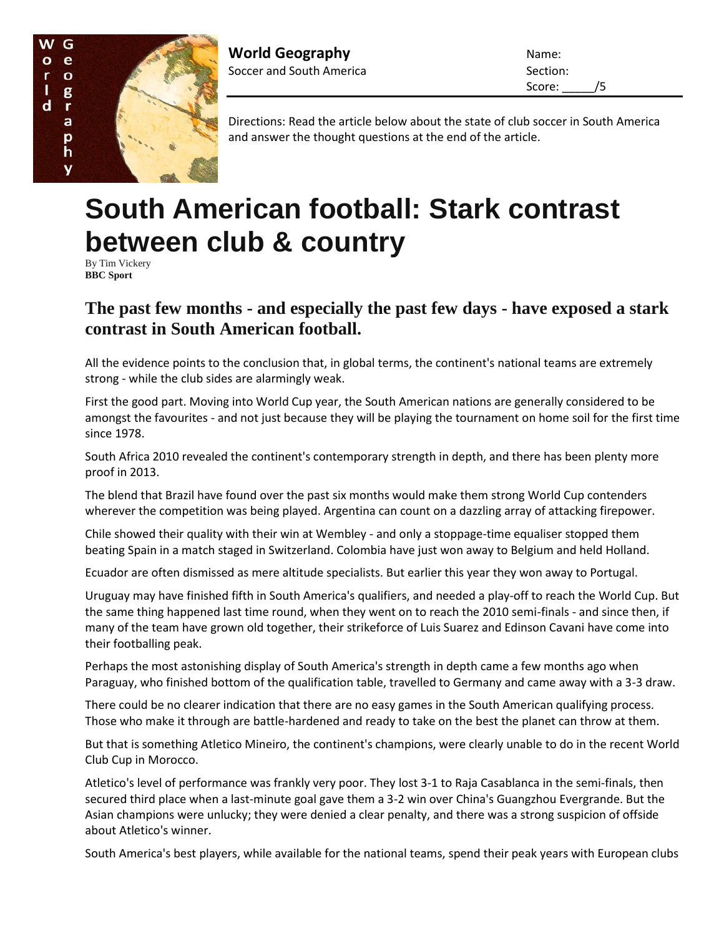

**World Geography** Name: Soccer and South America Section:

Score: /5

Directions: Read the article below about the state of club soccer in South America and answer the thought questions at the end of the article.

## **South American football: Stark contrast between club & country**

By Tim Vickery **BBC Sport**

## **The past few months - and especially the past few days - have exposed a stark contrast in South American football.**

All the evidence points to the conclusion that, in global terms, the continent's national teams are extremely strong - while the club sides are alarmingly weak.

First the good part. Moving into World Cup year, the South American nations are generally considered to be amongst the favourites - and not just because they will be playing the tournament on home soil for the first time since 1978.

South Africa 2010 revealed the continent's contemporary strength in depth, and there has been plenty more proof in 2013.

The blend that Brazil have found over the past six months would make them strong World Cup contenders wherever the competition was being played. Argentina can count on a dazzling array of attacking firepower.

Chile showed their quality with their win at Wembley - and only a stoppage-time equaliser stopped them beating Spain in a match staged in Switzerland. Colombia have just won away to Belgium and held Holland.

Ecuador are often dismissed as mere altitude specialists. But earlier this year they won away to Portugal.

Uruguay may have finished fifth in South America's qualifiers, and needed a play-off to reach the World Cup. But the same thing happened last time round, when they went on to reach the 2010 semi-finals - and since then, if many of the team have grown old together, their strikeforce of Luis Suarez and Edinson Cavani have come into their footballing peak.

Perhaps the most astonishing display of South America's strength in depth came a few months ago when Paraguay, who finished bottom of the qualification table, travelled to Germany and came away with a 3-3 draw.

There could be no clearer indication that there are no easy games in the South American qualifying process. Those who make it through are battle-hardened and ready to take on the best the planet can throw at them.

But that is something Atletico Mineiro, the continent's champions, were clearly unable to do in the recent World Club Cup in Morocco.

Atletico's level of performance was frankly very poor. They lost 3-1 to Raja Casablanca in the semi-finals, then secured third place when a last-minute goal gave them a 3-2 win over China's Guangzhou Evergrande. But the Asian champions were unlucky; they were denied a clear penalty, and there was a strong suspicion of offside about Atletico's winner.

South America's best players, while available for the national teams, spend their peak years with European clubs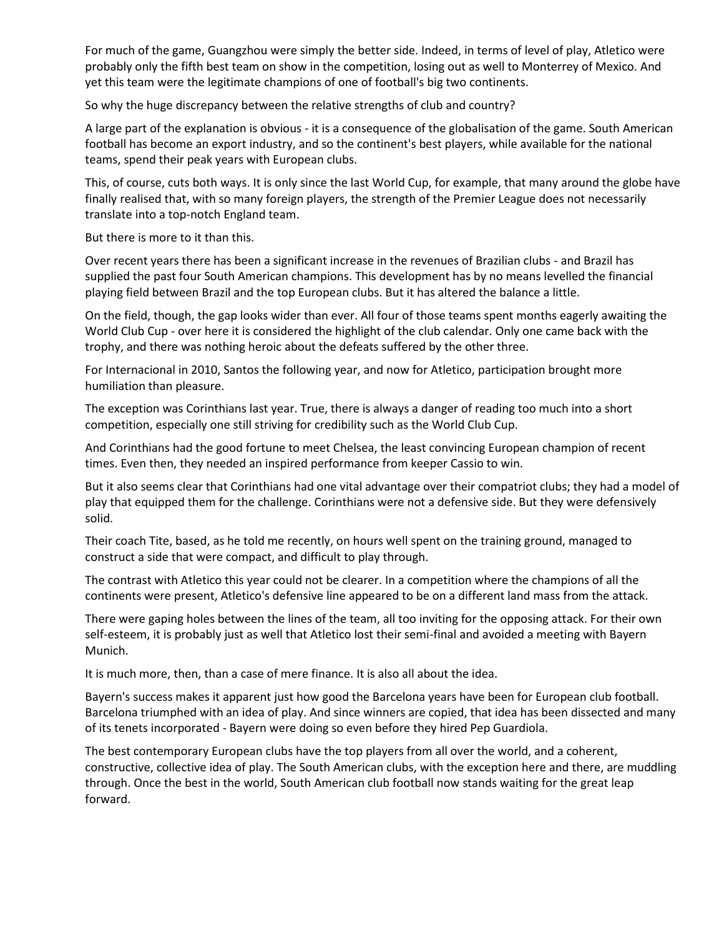For much of the game, Guangzhou were simply the better side. Indeed, in terms of level of play, Atletico were probably only the fifth best team on show in the competition, losing out as well to Monterrey of Mexico. And yet this team were the legitimate champions of one of football's big two continents.

So why the huge discrepancy between the relative strengths of club and country?

A large part of the explanation is obvious - it is a consequence of the globalisation of the game. South American football has become an export industry, and so the continent's best players, while available for the national teams, spend their peak years with European clubs.

This, of course, cuts both ways. It is only since the last World Cup, for example, that many around the globe have finally realised that, with so many foreign players, the strength of the Premier League does not necessarily translate into a top-notch England team.

But there is more to it than this.

Over recent years there has been a significant increase in the revenues of Brazilian clubs - and Brazil has supplied the past four South American champions. This development has by no means levelled the financial playing field between Brazil and the top European clubs. But it has altered the balance a little.

On the field, though, the gap looks wider than ever. All four of those teams spent months eagerly awaiting the World Club Cup - over here it is considered the highlight of the club calendar. Only one came back with the trophy, and there was nothing heroic about the defeats suffered by the other three.

For Internacional in 2010, Santos the following year, and now for Atletico, participation brought more humiliation than pleasure.

The exception was Corinthians last year. True, there is always a danger of reading too much into a short competition, especially one still striving for credibility such as the World Club Cup.

And Corinthians had the good fortune to meet Chelsea, the least convincing European champion of recent times. Even then, they needed an inspired performance from keeper Cassio to win.

But it also seems clear that Corinthians had one vital advantage over their compatriot clubs; they had a model of play that equipped them for the challenge. Corinthians were not a defensive side. But they were defensively solid.

Their coach Tite, based, as he told me recently, on hours well spent on the training ground, managed to construct a side that were compact, and difficult to play through.

The contrast with Atletico this year could not be clearer. In a competition where the champions of all the continents were present, Atletico's defensive line appeared to be on a different land mass from the attack.

There were gaping holes between the lines of the team, all too inviting for the opposing attack. For their own self-esteem, it is probably just as well that Atletico lost their semi-final and avoided a meeting with Bayern Munich.

It is much more, then, than a case of mere finance. It is also all about the idea.

Bayern's success makes it apparent just how good the Barcelona years have been for European club football. Barcelona triumphed with an idea of play. And since winners are copied, that idea has been dissected and many of its tenets incorporated - Bayern were doing so even before they hired Pep Guardiola.

The best contemporary European clubs have the top players from all over the world, and a coherent, constructive, collective idea of play. The South American clubs, with the exception here and there, are muddling through. Once the best in the world, South American club football now stands waiting for the great leap forward.